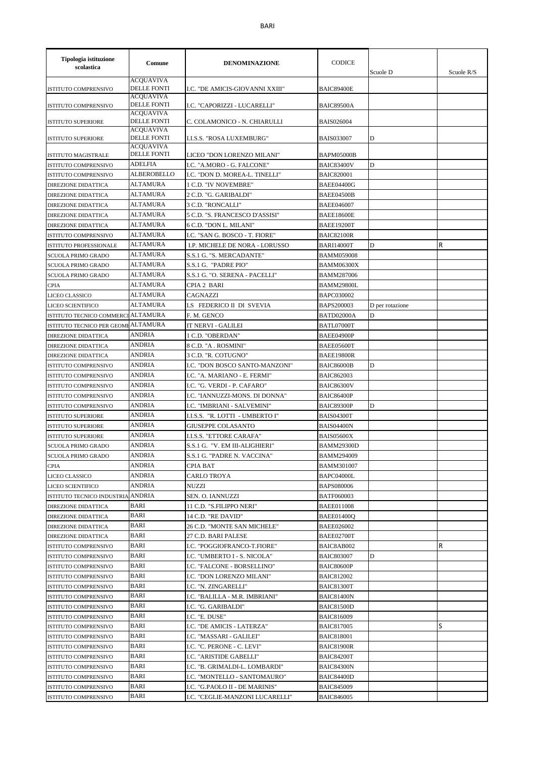| Tipologia istituzione<br>scolastica | Comune                                 | <b>DENOMINAZIONE</b>                  | <b>CODICE</b>     | Scuole D        | Scuole $R/S$ |
|-------------------------------------|----------------------------------------|---------------------------------------|-------------------|-----------------|--------------|
| ISTITUTO COMPRENSIVO                | <b>ACQUAVIVA</b><br><b>DELLE FONTI</b> | I.C. "DE AMICIS-GIOVANNI XXIII"       | <b>BAIC89400E</b> |                 |              |
| ISTITUTO COMPRENSIVO                | <b>ACQUAVIVA</b><br><b>DELLE FONTI</b> | I.C. "CAPORIZZI - LUCARELLI"          | <b>BAIC89500A</b> |                 |              |
| <b>ISTITUTO SUPERIORE</b>           | <b>ACOUAVIVA</b><br><b>DELLE FONTI</b> | C. COLAMONICO - N. CHIARULLI          | <b>BAIS026004</b> |                 |              |
| <b>ISTITUTO SUPERIORE</b>           | <b>ACQUAVIVA</b><br><b>DELLE FONTI</b> | I.I.S.S. "ROSA LUXEMBURG"             | <b>BAIS033007</b> | D               |              |
| <b>ISTITUTO MAGISTRALE</b>          | <b>ACOUAVIVA</b><br><b>DELLE FONTI</b> | LICEO "DON LORENZO MILANI"            | <b>BAPM05000B</b> |                 |              |
| ISTITUTO COMPRENSIVO                | <b>ADELFIA</b>                         | I.C. "A.MORO - G. FALCONE"            | <b>BAIC83400V</b> | D               |              |
| ISTITUTO COMPRENSIVO                | <b>ALBEROBELLO</b>                     | <b>I.C. "DON D. MOREA-L. TINELLI"</b> | <b>BAIC820001</b> |                 |              |
| DIREZIONE DIDATTICA                 | <b>ALTAMURA</b>                        | 1 C.D. "IV NOVEMBRE"                  | <b>BAEE04400G</b> |                 |              |
| <b>DIREZIONE DIDATTICA</b>          | <b>ALTAMURA</b>                        | 2 C.D. "G. GARIBALDI"                 | BAEE04500B        |                 |              |
| DIREZIONE DIDATTICA                 | ALTAMURA                               | 3 C.D. "RONCALLI"                     | <b>BAEE046007</b> |                 |              |
| DIREZIONE DIDATTICA                 | ALTAMURA                               | 5 C.D. "S. FRANCESCO D'ASSISI"        | <b>BAEE18600E</b> |                 |              |
| DIREZIONE DIDATTICA                 | <b>ALTAMURA</b>                        | 6 C.D. "DON L. MILANI"                | <b>BAEE19200T</b> |                 |              |
| <b>ISTITUTO COMPRENSIVO</b>         | ALTAMURA                               | I.C. "SAN G. BOSCO - T. FIORE"        | <b>BAIC82100R</b> |                 |              |
| ISTITUTO PROFESSIONALE              | ALTAMURA                               | I.P. MICHELE DE NORA - LORUSSO        | <b>BARI14000T</b> | D               | R            |
| <b>SCUOLA PRIMO GRADO</b>           | <b>ALTAMURA</b>                        | S.S.1 G. "S. MERCADANTE"              | <b>BAMM059008</b> |                 |              |
| <b>SCUOLA PRIMO GRADO</b>           | ALTAMURA                               | S.S.1 G. "PADRE PIO"                  | <b>BAMM06300X</b> |                 |              |
| SCUOLA PRIMO GRADO                  | ALTAMURA                               | S.S.1 G. "O. SERENA - PACELLI"        | <b>BAMM287006</b> |                 |              |
| <b>CPIA</b>                         | <b>ALTAMURA</b>                        | CPIA 2 BARI                           | <b>BAMM29800L</b> |                 |              |
| LICEO CLASSICO                      | ALTAMURA                               | CAGNAZZI                              | <b>BAPC030002</b> |                 |              |
| LICEO SCIENTIFICO                   | ALTAMURA                               | LS FEDERICO II DI SVEVIA              | <b>BAPS200003</b> | D per rotazione |              |
| ISTITUTO TECNICO COMMERCI ALTAMURA  |                                        | F. M. GENCO                           | BATD02000A        | D               |              |
| ISTITUTO TECNICO PER GEOME ALTAMURA |                                        | IT NERVI - GALILEI                    | BATL07000T        |                 |              |
|                                     | ANDRIA                                 |                                       |                   |                 |              |
| DIREZIONE DIDATTICA                 | <b>ANDRIA</b>                          | 1 C.D. "OBERDAN"                      | BAEE04900P        |                 |              |
| DIREZIONE DIDATTICA                 |                                        | 8 C.D. "A . ROSMINI"                  | BAEE05600T        |                 |              |
| DIREZIONE DIDATTICA                 | ANDRIA                                 | 3 C.D. "R. COTUGNO"                   | <b>BAEE19800R</b> |                 |              |
| ISTITUTO COMPRENSIVO                | <b>ANDRIA</b>                          | I.C. "DON BOSCO SANTO-MANZONI"        | <b>BAIC86000B</b> | D               |              |
| ISTITUTO COMPRENSIVO                | <b>ANDRIA</b>                          | I.C. "A. MARIANO - E. FERMI"          | <b>BAIC862003</b> |                 |              |
| ISTITUTO COMPRENSIVO                | <b>ANDRIA</b>                          | I.C. "G. VERDI - P. CAFARO"           | <b>BAIC86300V</b> |                 |              |
| ISTITUTO COMPRENSIVO                | <b>ANDRIA</b>                          | I.C. "IANNUZZI-MONS. DI DONNA"        | <b>BAIC86400P</b> |                 |              |
| <b>ISTITUTO COMPRENSIVO</b>         | <b>ANDRIA</b>                          | I.C. "IMBRIANI - SALVEMINI"           | <b>BAIC89300P</b> | D               |              |
| <b>ISTITUTO SUPERIORE</b>           | ANDRIA                                 | I.I.S.S. "R. LOTTI - UMBERTO I"       | <b>BAIS04300T</b> |                 |              |
| <b>ISTITUTO SUPERIORE</b>           | <b>ANDRIA</b>                          | <b>GIUSEPPE COLASANTO</b>             | <b>BAIS04400N</b> |                 |              |
| <b>ISTITUTO SUPERIORE</b>           | ANDRIA                                 | I.I.S.S. "ETTORE CARAFA"              | <b>BAIS05600X</b> |                 |              |
| <b>SCUOLA PRIMO GRADO</b>           | <b>ANDRIA</b>                          | S.S.1 G. "V. EM III-ALIGHIERI"        | <b>BAMM29300D</b> |                 |              |
| <b>SCUOLA PRIMO GRADO</b>           | <b>ANDRIA</b>                          | S.S.1 G. "PADRE N. VACCINA"           | BAMM294009        |                 |              |
| <b>CPIA</b>                         | ANDRIA                                 | CPIA BAT                              | BAMM301007        |                 |              |
| LICEO CLASSICO                      | ANDRIA                                 | CARLO TROYA                           | BAPC04000L        |                 |              |
| LICEO SCIENTIFICO                   | <b>ANDRIA</b>                          | <b>NUZZI</b>                          | BAPS080006        |                 |              |
| ISTITUTO TECNICO INDUSTRIA ANDRIA   |                                        | SEN. O. IANNUZZI                      | <b>BATF060003</b> |                 |              |
| DIREZIONE DIDATTICA                 | BARI                                   | 11 C.D. "S.FILIPPO NERI"              | <b>BAEE011008</b> |                 |              |
| <b>DIREZIONE DIDATTICA</b>          | BARI                                   | 14 C.D. "RE DAVID"                    | BAEE01400Q        |                 |              |
| <b>DIREZIONE DIDATTICA</b>          | BARI                                   | 26 C.D. "MONTE SAN MICHELE"           | <b>BAEE026002</b> |                 |              |
| DIREZIONE DIDATTICA                 | BARI                                   | 27 C.D. BARI PALESE                   | BAEE02700T        |                 |              |
| ISTITUTO COMPRENSIVO                | BARI                                   | I.C. "POGGIOFRANCO-T.FIORE"           | BAIC8AB002        |                 | R            |
| ISTITUTO COMPRENSIVO                | BARI                                   | I.C. "UMBERTO I - S. NICOLA"          | <b>BAIC803007</b> | D               |              |
| ISTITUTO COMPRENSIVO                | BARI                                   | I.C. "FALCONE - BORSELLINO"           | <b>BAIC80600P</b> |                 |              |
| ISTITUTO COMPRENSIVO                | BARI                                   | I.C. "DON LORENZO MILANI"             | <b>BAIC812002</b> |                 |              |
| ISTITUTO COMPRENSIVO                | BARI                                   | I.C. "N. ZINGARELLI"                  | <b>BAIC81300T</b> |                 |              |
| ISTITUTO COMPRENSIVO                | BARI                                   | I.C. "BALILLA - M.R. IMBRIANI"        | <b>BAIC81400N</b> |                 |              |
| ISTITUTO COMPRENSIVO                | BARI                                   | I.C. "G. GARIBALDI"                   | <b>BAIC81500D</b> |                 |              |
|                                     | BARI                                   |                                       |                   |                 |              |
| ISTITUTO COMPRENSIVO                |                                        | I.C. "E. DUSE"                        | <b>BAIC816009</b> |                 |              |
| ISTITUTO COMPRENSIVO                | BARI                                   | I.C. "DE AMICIS - LATERZA"            | <b>BAIC817005</b> |                 | S            |
| ISTITUTO COMPRENSIVO                | BARI                                   | I.C. "MASSARI - GALILEI"              | <b>BAIC818001</b> |                 |              |
| ISTITUTO COMPRENSIVO                | BARI                                   | I.C. "C. PERONE - C. LEVI"            | <b>BAIC81900R</b> |                 |              |
| ISTITUTO COMPRENSIVO                | BARI                                   | I.C. "ARISTIDE GABELLI"               | <b>BAIC84200T</b> |                 |              |
| ISTITUTO COMPRENSIVO                | BARI                                   | I.C. "B. GRIMALDI-L. LOMBARDI"        | <b>BAIC84300N</b> |                 |              |
| ISTITUTO COMPRENSIVO                | BARI                                   | I.C. "MONTELLO - SANTOMAURO"          | <b>BAIC84400D</b> |                 |              |
| ISTITUTO COMPRENSIVO                | BARI                                   | I.C. "G.PAOLO II - DE MARINIS"        | <b>BAIC845009</b> |                 |              |
| ISTITUTO COMPRENSIVO                | BARI                                   | I.C. "CEGLIE-MANZONI LUCARELLI"       | <b>BAIC846005</b> |                 |              |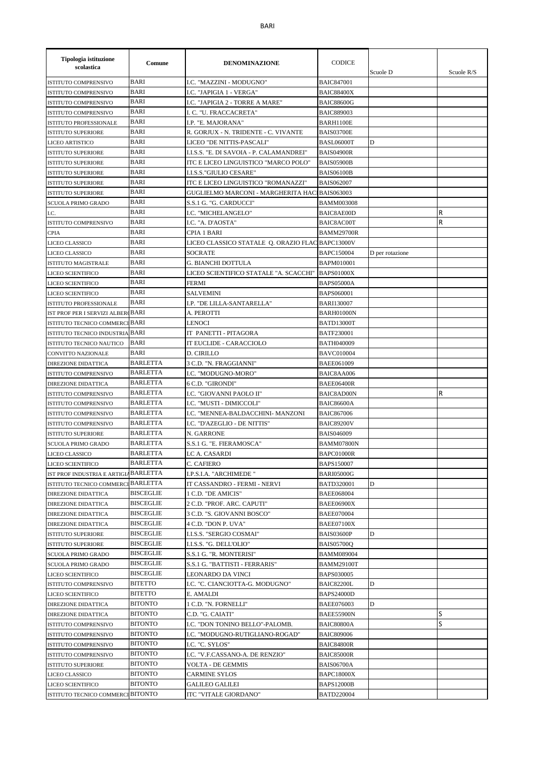| Tipologia istituzione<br>scolastica                        | Comune           | <b>DENOMINAZIONE</b>                                      | <b>CODICE</b>                          | Scuole D        | Scuole R/S |
|------------------------------------------------------------|------------------|-----------------------------------------------------------|----------------------------------------|-----------------|------------|
| <b>ISTITUTO COMPRENSIVO</b>                                | BARI             | I.C. "MAZZINI - MODUGNO"                                  | <b>BAIC847001</b>                      |                 |            |
| <b>ISTITUTO COMPRENSIVO</b>                                | <b>BARI</b>      | I.C. "JAPIGIA 1 - VERGA"                                  | <b>BAIC88400X</b>                      |                 |            |
| <b>ISTITUTO COMPRENSIVO</b>                                | <b>BARI</b>      | I.C. "JAPIGIA 2 - TORRE A MARE"                           | <b>BAIC88600G</b>                      |                 |            |
| <b>ISTITUTO COMPRENSIVO</b>                                | <b>BARI</b>      | I. C. "U. FRACCACRETA"                                    | <b>BAIC889003</b>                      |                 |            |
| ISTITUTO PROFESSIONALE                                     | <b>BARI</b>      | I.P. "E. MAJORANA"                                        | BARH1100E                              |                 |            |
| <b>ISTITUTO SUPERIORE</b>                                  | <b>BARI</b>      | R. GORJUX - N. TRIDENTE - C. VIVANTE                      | <b>BAIS03700E</b>                      |                 |            |
| <b>LICEO ARTISTICO</b>                                     | BARI             | LICEO "DE NITTIS-PASCALI"                                 | <b>BASL06000T</b>                      | D               |            |
| <b>ISTITUTO SUPERIORE</b>                                  | BARI             | I.I.S.S. "E. DI SAVOIA - P. CALAMANDREI"                  | <b>BAIS04900R</b>                      |                 |            |
| <b>ISTITUTO SUPERIORE</b>                                  | BARI             | ITC E LICEO LINGUISTICO "MARCO POLO"                      | <b>BAIS05900B</b>                      |                 |            |
| <b>ISTITUTO SUPERIORE</b>                                  | BARI             | I.I.S.S."GIULIO CESARE"                                   | <b>BAIS06100B</b>                      |                 |            |
| <b>ISTITUTO SUPERIORE</b>                                  | BARI             | ITC E LICEO LINGUISTICO "ROMANAZZI"                       | <b>BAIS062007</b>                      |                 |            |
| <b>ISTITUTO SUPERIORE</b>                                  | <b>BARI</b>      | GUGLIELMO MARCONI - MARGHERITA HACIBAIS063003             |                                        |                 |            |
| SCUOLA PRIMO GRADO                                         | <b>BARI</b>      | S.S.1 G. "G. CARDUCCI"                                    | <b>BAMM003008</b>                      |                 |            |
| I.C.                                                       | <b>BARI</b>      | I.C. "MICHELANGELO"                                       | <b>BAIC8AE00D</b>                      |                 | R          |
| ISTITUTO COMPRENSIVO                                       | BARI             | I.C. "A. D'AOSTA"                                         | BAIC8AC00T                             |                 | R          |
| <b>CPIA</b>                                                | BARI             | CPIA 1 BARI                                               | <b>BAMM29700R</b>                      |                 |            |
| LICEO CLASSICO                                             | BARI             | LICEO CLASSICO STATALE O. ORAZIO FLAC BAPC13000V          |                                        |                 |            |
| LICEO CLASSICO                                             | BARI             | <b>SOCRATE</b>                                            | <b>BAPC150004</b>                      | D per rotazione |            |
| <b>ISTITUTO MAGISTRALE</b>                                 | BARI             | G. BIANCHI DOTTULA                                        | <b>BAPM010001</b>                      |                 |            |
| <b>LICEO SCIENTIFICO</b>                                   | <b>BARI</b>      | LICEO SCIENTIFICO STATALE "A. SCACCHI"                    | <b>BAPS01000X</b>                      |                 |            |
| LICEO SCIENTIFICO                                          | <b>BARI</b>      | <b>FERMI</b>                                              | <b>BAPS05000A</b>                      |                 |            |
| <b>LICEO SCIENTIFICO</b>                                   | <b>BARI</b>      | <b>SALVEMINI</b>                                          | BAPS060001                             |                 |            |
| ISTITUTO PROFESSIONALE                                     | BARI             | I.P. "DE LILLA-SANTARELLA"                                | <b>BARI130007</b>                      |                 |            |
| IST PROF PER I SERVIZI ALBER BARI                          |                  | A. PEROTTI                                                | <b>BARH01000N</b>                      |                 |            |
| ISTITUTO TECNICO COMMERCI BARI                             |                  | LENOCI                                                    | BATD13000T                             |                 |            |
| ISTITUTO TECNICO INDUSTRIA BARI                            |                  | IT PANETTI - PITAGORA                                     | <b>BATF230001</b>                      |                 |            |
| ISTITUTO TECNICO NAUTICO                                   | <b>BARI</b>      | IT EUCLIDE - CARACCIOLO                                   | <b>BATH040009</b>                      |                 |            |
| CONVITTO NAZIONALE                                         | <b>BARI</b>      | <b>D. CIRILLO</b>                                         | <b>BAVC010004</b>                      |                 |            |
| <b>DIREZIONE DIDATTICA</b>                                 | <b>BARLETTA</b>  | 3 C.D. "N. FRAGGIANNI"                                    | <b>BAEE061009</b>                      |                 |            |
| ISTITUTO COMPRENSIVO                                       | <b>BARLETTA</b>  | I.C. "MODUGNO-MORO"                                       | BAIC8AA006                             |                 |            |
| DIREZIONE DIDATTICA                                        | <b>BARLETTA</b>  | 6 C.D. "GIRONDI"                                          | <b>BAEE06400R</b>                      |                 |            |
| <b>ISTITUTO COMPRENSIVO</b>                                | <b>BARLETTA</b>  | I.C. "GIOVANNI PAOLO II"                                  | <b>BAIC8AD00N</b>                      |                 | R          |
| <b>ISTITUTO COMPRENSIVO</b>                                | <b>BARLETTA</b>  | I.C. "MUSTI - DIMICCOLI"                                  | <b>BAIC86600A</b>                      |                 |            |
| ISTITUTO COMPRENSIVO                                       | <b>BARLETTA</b>  | I.C. "MENNEA-BALDACCHINI- MANZONI                         | <b>BAIC867006</b>                      |                 |            |
| ISTITUTO COMPRENSIVO                                       | <b>BARLETTA</b>  | I.C. "D'AZEGLIO - DE NITTIS"                              | <b>BAIC89200V</b>                      |                 |            |
| <b>ISTITUTO SUPERIORE</b>                                  | <b>BARLETTA</b>  | N. GARRONE                                                | <b>BAIS046009</b>                      |                 |            |
| SCUOLA PRIMO GRADO                                         | BARLETTA         | S.S.1 G. "E. FIERAMOSCA"                                  | <b>BAMM07800N</b>                      |                 |            |
|                                                            | <b>BARLETTA</b>  | LC A. CASARDI                                             |                                        |                 |            |
| LICEO CLASSICO                                             | <b>BARLETTA</b>  | C. CAFIERO                                                | BAPC01000R<br>BAPS150007               |                 |            |
| LICEO SCIENTIFICO<br>IST PROF INDUSTRIA E ARTIGIA BARLETTA |                  | I.P.S.I.A. "ARCHIMEDE "                                   | <b>BARI05000G</b>                      |                 |            |
| ISTITUTO TECNICO COMMERCI BARLETTA                         |                  | IT CASSANDRO - FERMI - NERVI                              | <b>BATD320001</b>                      | D               |            |
| <b>DIREZIONE DIDATTICA</b>                                 | <b>BISCEGLIE</b> | 1 C.D. "DE AMICIS"                                        | <b>BAEE068004</b>                      |                 |            |
| <b>DIREZIONE DIDATTICA</b>                                 | <b>BISCEGLIE</b> | 2 C.D. "PROF. ARC. CAPUTI"                                | BAEE06900X                             |                 |            |
|                                                            | <b>BISCEGLIE</b> | 3 C.D. "S. GIOVANNI BOSCO"                                |                                        |                 |            |
| <b>DIREZIONE DIDATTICA</b>                                 | <b>BISCEGLIE</b> | 4 C.D. "DON P. UVA"                                       | <b>BAEE070004</b>                      |                 |            |
| DIREZIONE DIDATTICA<br><b>ISTITUTO SUPERIORE</b>           | <b>BISCEGLIE</b> | I.I.S.S. "SERGIO COSMAI"                                  | BAEE07100X                             | D               |            |
| <b>ISTITUTO SUPERIORE</b>                                  | <b>BISCEGLIE</b> | I.I.S.S. "G. DELL'OLIO"                                   | BAIS03600P<br><b>BAIS05700Q</b>        |                 |            |
|                                                            | <b>BISCEGLIE</b> |                                                           |                                        |                 |            |
| SCUOLA PRIMO GRADO                                         | <b>BISCEGLIE</b> | S.S.1 G. "R. MONTERISI"<br>S.S.1 G. "BATTISTI - FERRARIS" | <b>BAMM089004</b><br><b>BAMM29100T</b> |                 |            |
| SCUOLA PRIMO GRADO                                         | <b>BISCEGLIE</b> |                                                           |                                        |                 |            |
| LICEO SCIENTIFICO                                          | <b>BITETTO</b>   | LEONARDO DA VINCI                                         | <b>BAPS030005</b>                      | D               |            |
| ISTITUTO COMPRENSIVO                                       |                  | I.C. "C. CIANCIOTTA-G. MODUGNO"                           | BAIC82200L                             |                 |            |
| LICEO SCIENTIFICO                                          | <b>BITETTO</b>   | E. AMALDI                                                 | <b>BAPS24000D</b>                      |                 |            |
| DIREZIONE DIDATTICA                                        | <b>BITONTO</b>   | 1 C.D. "N. FORNELLI"                                      | BAEE076003                             | D               |            |
| DIREZIONE DIDATTICA                                        | <b>BITONTO</b>   | C.D. "G. CAIATI"                                          | <b>BAEE55900N</b>                      |                 | S          |
| ISTITUTO COMPRENSIVO                                       | <b>BITONTO</b>   | I.C. "DON TONINO BELLO"-PALOMB.                           | <b>BAIC80800A</b>                      |                 | S          |
| ISTITUTO COMPRENSIVO                                       | <b>BITONTO</b>   | I.C. "MODUGNO-RUTIGLIANO-ROGAD"                           | <b>BAIC809006</b>                      |                 |            |
| ISTITUTO COMPRENSIVO                                       | <b>BITONTO</b>   | I.C. "C. SYLOS"                                           | <b>BAIC84800R</b>                      |                 |            |
| ISTITUTO COMPRENSIVO                                       | <b>BITONTO</b>   | I.C. "V.F.CASSANO-A. DE RENZIO"                           | <b>BAIC85000R</b>                      |                 |            |
| <b>ISTITUTO SUPERIORE</b>                                  | <b>BITONTO</b>   | VOLTA - DE GEMMIS                                         | BAIS06700A                             |                 |            |
| LICEO CLASSICO                                             | <b>BITONTO</b>   | <b>CARMINE SYLOS</b>                                      | <b>BAPC18000X</b>                      |                 |            |
| LICEO SCIENTIFICO                                          | <b>BITONTO</b>   | GALILEO GALILEI                                           | BAPS12000B                             |                 |            |
| ISTITUTO TECNICO COMMERCI BITONTO                          |                  | ITC "VITALE GIORDANO"                                     | <b>BATD220004</b>                      |                 |            |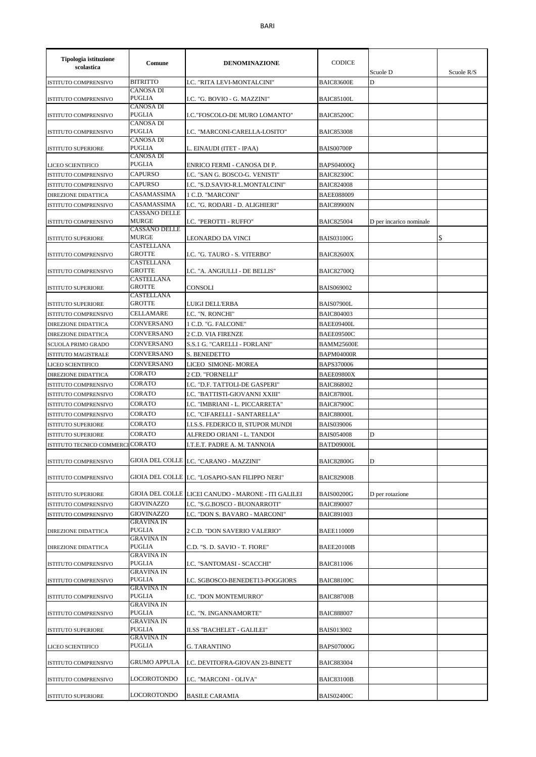| Tipologia istituzione<br>scolastica | Comune                                                | <b>DENOMINAZIONE</b>                                | <b>CODICE</b>     | Scuole D                | Scuole $R/S$ |
|-------------------------------------|-------------------------------------------------------|-----------------------------------------------------|-------------------|-------------------------|--------------|
| ISTITUTO COMPRENSIVO                | <b>BITRITTO</b>                                       | I.C. "RITA LEVI-MONTALCINI"                         | <b>BAIC83600E</b> | D                       |              |
| <b>ISTITUTO COMPRENSIVO</b>         | <b>CANOSA DI</b><br><b>PUGLIA</b>                     | I.C. "G. BOVIO - G. MAZZINI"                        | <b>BAIC85100L</b> |                         |              |
| <b>ISTITUTO COMPRENSIVO</b>         | <b>CANOSA DI</b><br><b>PUGLIA</b>                     | I.C. "FOSCOLO-DE MURO LOMANTO"                      | <b>BAIC85200C</b> |                         |              |
| ISTITUTO COMPRENSIVO                | <b>CANOSA DI</b><br><b>PUGLIA</b><br><b>CANOSA DI</b> | I.C. "MARCONI-CARELLA-LOSITO"                       | <b>BAIC853008</b> |                         |              |
| <b>ISTITUTO SUPERIORE</b>           | <b>PUGLIA</b><br>CANOSA DI                            | L. EINAUDI (ITET - IPAA)                            | <b>BAIS00700P</b> |                         |              |
| LICEO SCIENTIFICO                   | <b>PUGLIA</b>                                         | ENRICO FERMI - CANOSA DI P.                         | <b>BAPS04000Q</b> |                         |              |
| ISTITUTO COMPRENSIVO                | <b>CAPURSO</b>                                        | I.C. "SAN G. BOSCO-G. VENISTI"                      | <b>BAIC82300C</b> |                         |              |
| ISTITUTO COMPRENSIVO                | <b>CAPURSO</b>                                        | I.C. "S.D.SAVIO-R.L.MONTALCINI"                     | <b>BAIC824008</b> |                         |              |
| <b>DIREZIONE DIDATTICA</b>          | CASAMASSIMA                                           | 1 C.D. "MARCONI"                                    | <b>BAEE088009</b> |                         |              |
| ISTITUTO COMPRENSIVO                | CASAMASSIMA                                           | I.C. "G. RODARI - D. ALIGHIERI"                     | <b>BAIC89900N</b> |                         |              |
|                                     | <b>CASSANO DELLE</b>                                  |                                                     |                   |                         |              |
| <b>ISTITUTO COMPRENSIVO</b>         | <b>MURGE</b><br><b>CASSANO DELLE</b>                  | <b>I.C. "PEROTTI - RUFFO"</b>                       | <b>BAIC825004</b> | D per incarico nominale |              |
| <b>ISTITUTO SUPERIORE</b>           | <b>MURGE</b><br>CASTELLANA                            | LEONARDO DA VINCI                                   | <b>BAIS03100G</b> |                         | S            |
| ISTITUTO COMPRENSIVO                | <b>GROTTE</b><br><b>CASTELLANA</b>                    | I.C. "G. TAURO - S. VITERBO"                        | <b>BAIC82600X</b> |                         |              |
| <b>ISTITUTO COMPRENSIVO</b>         | <b>GROTTE</b>                                         | I.C. "A. ANGIULLI - DE BELLIS"                      | <b>BAIC82700Q</b> |                         |              |
| <b>ISTITUTO SUPERIORE</b>           | CASTELLANA<br><b>GROTTE</b>                           | <b>CONSOLI</b>                                      | <b>BAIS069002</b> |                         |              |
| <b>ISTITUTO SUPERIORE</b>           | CASTELLANA<br><b>GROTTE</b>                           | LUIGI DELL'ERBA                                     | BAIS07900L        |                         |              |
| <b>ISTITUTO COMPRENSIVO</b>         | CELLAMARE                                             | I.C. "N. RONCHI"                                    | <b>BAIC804003</b> |                         |              |
| <b>DIREZIONE DIDATTICA</b>          | CONVERSANO                                            | 1 C.D. "G. FALCONE"                                 | BAEE09400L        |                         |              |
| <b>DIREZIONE DIDATTICA</b>          | CONVERSANO                                            | 2 C.D. VIA FIRENZE                                  | BAEE09500C        |                         |              |
| SCUOLA PRIMO GRADO                  | CONVERSANO                                            | S.S.1 G. "CARELLI - FORLANI"                        | <b>BAMM25600E</b> |                         |              |
| <b>ISTITUTO MAGISTRALE</b>          | CONVERSANO                                            | S. BENEDETTO                                        | <b>BAPM04000R</b> |                         |              |
| LICEO SCIENTIFICO                   | CONVERSANO                                            | LICEO SIMONE-MOREA                                  | BAPS370006        |                         |              |
| <b>DIREZIONE DIDATTICA</b>          | <b>CORATO</b>                                         | 2 CD. "FORNELLI"                                    | <b>BAEE09800X</b> |                         |              |
| <b>ISTITUTO COMPRENSIVO</b>         | <b>CORATO</b>                                         | I.C. "D.F. TATTOLI-DE GASPERI"                      | <b>BAIC868002</b> |                         |              |
| <b>ISTITUTO COMPRENSIVO</b>         | CORATO                                                | I.C. "BATTISTI-GIOVANNI XXIII"                      | <b>BAIC87800L</b> |                         |              |
| ISTITUTO COMPRENSIVO                | <b>CORATO</b>                                         | I.C. "IMBRIANI - L. PICCARRETA"                     | <b>BAIC87900C</b> |                         |              |
| ISTITUTO COMPRENSIVO                | <b>CORATO</b>                                         | I.C. "CIFARELLI - SANTARELLA"                       | <b>BAIC88000L</b> |                         |              |
| <b>ISTITUTO SUPERIORE</b>           | CORATO                                                | I.I.S.S. FEDERICO II, STUPOR MUNDI                  | <b>BAIS039006</b> |                         |              |
| <b>ISTITUTO SUPERIORE</b>           | <b>CORATO</b>                                         | ALFREDO ORIANI - L. TANDOI                          | <b>BAIS054008</b> | D                       |              |
| <b>ISTITUTO TECNICO COMMERC</b>     | <b>CORATO</b>                                         | I.T.E.T. PADRE A. M. TANNOIA                        | BATD09000L        |                         |              |
| ISTITUTO COMPRENSIVO                |                                                       | GIOIA DEL COLLE   I.C. "CARANO - MAZZINI"           | <b>BAIC82800G</b> | D                       |              |
| <b>ISTITUTO COMPRENSIVO</b>         |                                                       | GIOIA DEL COLLE   I.C. "LOSAPIO-SAN FILIPPO NERI"   | <b>BAIC82900B</b> |                         |              |
| <b>ISTITUTO SUPERIORE</b>           |                                                       | GIOIA DEL COLLE LICEI CANUDO - MARONE - ITI GALILEI | <b>BAIS00200G</b> | D per rotazione         |              |
| ISTITUTO COMPRENSIVO                | <b>GIOVINAZZO</b>                                     | I.C. "S.G.BOSCO - BUONARROTI"                       | <b>BAIC890007</b> |                         |              |
| <b>ISTITUTO COMPRENSIVO</b>         | <b>GIOVINAZZO</b>                                     | I.C. "DON S. BAVARO - MARCONI"                      | <b>BAIC891003</b> |                         |              |
| DIREZIONE DIDATTICA                 | <b>GRAVINA IN</b><br>PUGLIA                           | 2 C.D. "DON SAVERIO VALERIO"                        | BAEE110009        |                         |              |
| DIREZIONE DIDATTICA                 | <b>GRAVINA IN</b><br>PUGLIA                           | C.D. "S. D. SAVIO - T. FIORE"                       | <b>BAEE20100B</b> |                         |              |
| ISTITUTO COMPRENSIVO                | <b>GRAVINA IN</b><br>PUGLIA                           | I.C. "SANTOMASI - SCACCHI"                          | <b>BAIC811006</b> |                         |              |
| ISTITUTO COMPRENSIVO                | <b>GRAVINA IN</b><br>PUGLIA                           | I.C. SGBOSCO-BENEDET13-POGGIORS                     | <b>BAIC88100C</b> |                         |              |
| ISTITUTO COMPRENSIVO                | <b>GRAVINA IN</b><br>PUGLIA                           | I.C. "DON MONTEMURRO"                               | <b>BAIC88700B</b> |                         |              |
|                                     | <b>GRAVINA IN</b>                                     |                                                     |                   |                         |              |
| ISTITUTO COMPRENSIVO                | PUGLIA<br><b>GRAVINA IN</b>                           | I.C. "N. INGANNAMORTE"                              | <b>BAIC888007</b> |                         |              |
| <b>ISTITUTO SUPERIORE</b>           | PUGLIA<br><b>GRAVINA IN</b>                           | <b>II.SS "BACHELET - GALILEI"</b>                   | <b>BAIS013002</b> |                         |              |
| LICEO SCIENTIFICO                   | PUGLIA                                                | G. TARANTINO                                        | <b>BAPS07000G</b> |                         |              |
| ISTITUTO COMPRENSIVO                | GRUMO APPULA                                          | I.C. DEVITOFRA-GIOVAN 23-BINETT                     | <b>BAIC883004</b> |                         |              |
| ISTITUTO COMPRENSIVO                | LOCOROTONDO                                           | I.C. "MARCONI - OLIVA"                              | <b>BAIC83100B</b> |                         |              |
| <b>ISTITUTO SUPERIORE</b>           | <b>LOCOROTONDO</b>                                    | <b>BASILE CARAMIA</b>                               | <b>BAIS02400C</b> |                         |              |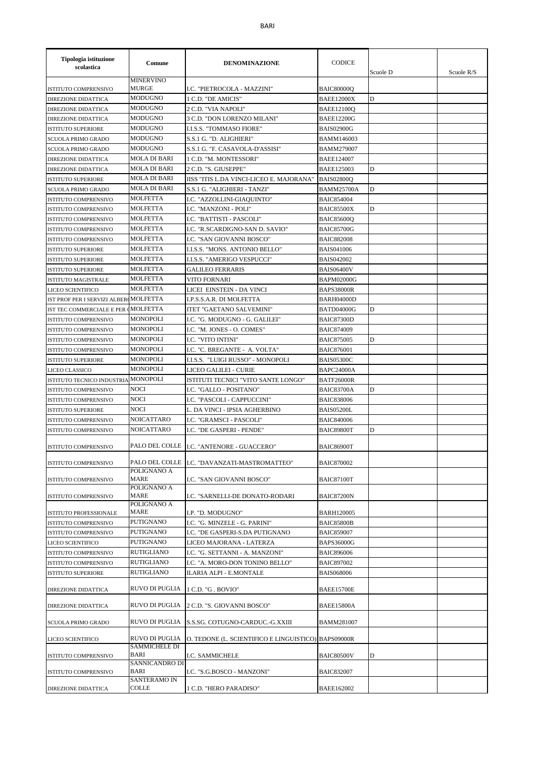| Tipologia istituzione<br>scolastica   | Comune                                 | <b>DENOMINAZIONE</b>                                | <b>CODICE</b>     | Scuole D | Scuole R/S |
|---------------------------------------|----------------------------------------|-----------------------------------------------------|-------------------|----------|------------|
| ISTITUTO COMPRENSIVO                  | <b>MINERVINO</b><br><b>MURGE</b>       | I.C. "PIETROCOLA - MAZZINI"                         | <b>BAIC80000Q</b> |          |            |
| DIREZIONE DIDATTICA                   | <b>MODUGNO</b>                         | 1 C.D. "DE AMICIS"                                  | <b>BAEE12000X</b> | D        |            |
| DIREZIONE DIDATTICA                   | <b>MODUGNO</b>                         | 2 C.D. "VIA NAPOLI"                                 | <b>BAEE12100Q</b> |          |            |
| DIREZIONE DIDATTICA                   | MODUGNO                                | 3 C.D. "DON LORENZO MILANI"                         | <b>BAEE12200G</b> |          |            |
| <b>ISTITUTO SUPERIORE</b>             | MODUGNO                                | I.I.S.S. "TOMMASO FIORE"                            | BAIS02900G        |          |            |
| <b>SCUOLA PRIMO GRADO</b>             | <b>MODUGNO</b>                         | S.S.1 G. "D. ALIGHIERI"                             | <b>BAMM146003</b> |          |            |
| SCUOLA PRIMO GRADO                    | <b>MODUGNO</b>                         | S.S.1 G. "F. CASAVOLA-D'ASSISI"                     | <b>BAMM279007</b> |          |            |
| DIREZIONE DIDATTICA                   | <b>MOLA DI BARI</b>                    | 1 C.D. "M. MONTESSORI"                              | <b>BAEE124007</b> |          |            |
| DIREZIONE DIDATTICA                   | <b>MOLA DI BARI</b>                    | 2 C.D. "S. GIUSEPPE"                                | <b>BAEE125003</b> | D        |            |
| ISTITUTO SUPERIORE                    | <b>MOLA DI BARI</b>                    | IISS "ITIS L.DA VINCI-LICEO E. MAJORANA"            | <b>BAIS02800Q</b> |          |            |
| SCUOLA PRIMO GRADO                    | <b>MOLA DI BARI</b>                    | S.S.1 G. "ALIGHIERI - TANZI"                        | <b>BAMM25700A</b> | D        |            |
| ISTITUTO COMPRENSIVO                  | <b>MOLFETTA</b>                        | I.C. "AZZOLLINI-GIAQUINTO"                          | <b>BAIC854004</b> |          |            |
| ISTITUTO COMPRENSIVO                  | <b>MOLFETTA</b>                        | I.C. "MANZONI - POLI"                               | <b>BAIC85500X</b> | D        |            |
| ISTITUTO COMPRENSIVO                  | <b>MOLFETTA</b>                        | I.C. "BATTISTI - PASCOLI"                           | <b>BAIC85600Q</b> |          |            |
| ISTITUTO COMPRENSIVO                  | <b>MOLFETTA</b>                        | I.C. "R.SCARDIGNO-SAN D. SAVIO"                     | <b>BAIC85700G</b> |          |            |
| ISTITUTO COMPRENSIVO                  | <b>MOLFETTA</b>                        | I.C. "SAN GIOVANNI BOSCO"                           | <b>BAIC882008</b> |          |            |
| ISTITUTO SUPERIORE                    | <b>MOLFETTA</b>                        | I.I.S.S. "MONS. ANTONIO BELLO"                      | <b>BAIS041006</b> |          |            |
| <b>ISTITUTO SUPERIORE</b>             | <b>MOLFETTA</b>                        | I.I.S.S. "AMERIGO VESPUCCI"                         | <b>BAIS042002</b> |          |            |
| <b>ISTITUTO SUPERIORE</b>             | <b>MOLFETTA</b>                        | GALILEO FERRARIS                                    | <b>BAIS06400V</b> |          |            |
| <b>ISTITUTO MAGISTRALE</b>            | <b>MOLFETTA</b>                        | VITO FORNARI                                        | <b>BAPM02000G</b> |          |            |
| LICEO SCIENTIFICO                     | <b>MOLFETTA</b>                        | LICEI EINSTEIN - DA VINCI                           | <b>BAPS38000R</b> |          |            |
| IST PROF PER I SERVIZI ALBER MOLFETTA |                                        | I.P.S.S.A.R. DI MOLFETTA                            | <b>BARH04000D</b> |          |            |
| IST TEC COMMERCIALE E PER (MOLFETTA   |                                        | <b>ITET "GAETANO SALVEMINI"</b>                     | <b>BATD04000G</b> | D        |            |
| ISTITUTO COMPRENSIVO                  | <b>MONOPOLI</b>                        | I.C. "G. MODUGNO - G. GALILEI"                      | <b>BAIC87300D</b> |          |            |
| ISTITUTO COMPRENSIVO                  | <b>MONOPOLI</b>                        | I.C. "M. JONES - O. COMES"                          | <b>BAIC874009</b> |          |            |
| ISTITUTO COMPRENSIVO                  | MONOPOLI                               | I.C. "VITO INTINI"                                  | <b>BAIC875005</b> | D        |            |
| ISTITUTO COMPRENSIVO                  | MONOPOLI                               | I.C. "C. BREGANTE - A. VOLTA"                       | <b>BAIC876001</b> |          |            |
| <b>ISTITUTO SUPERIORE</b>             | <b>MONOPOLI</b>                        | I.I.S.S. "LUIGI RUSSO" - MONOPOLI                   | <b>BAIS05300C</b> |          |            |
| LICEO CLASSICO                        | <b>MONOPOLI</b>                        | LICEO GALILEI - CURIE                               | <b>BAPC24000A</b> |          |            |
| ISTITUTO TECNICO INDUSTRIA            | <b>MONOPOLI</b>                        | ISTITUTI TECNICI "VITO SANTE LONGO"                 | <b>BATF26000R</b> |          |            |
| ISTITUTO COMPRENSIVO                  | NOCI                                   | I.C. "GALLO - POSITANO"                             | <b>BAIC83700A</b> | D        |            |
| ISTITUTO COMPRENSIVO                  | <b>NOCI</b>                            | I.C. "PASCOLI - CAPPUCCINI"                         | <b>BAIC838006</b> |          |            |
| <b>ISTITUTO SUPERIORE</b>             | <b>NOCI</b>                            | L. DA VINCI - IPSIA AGHERBINO                       | BAIS05200L        |          |            |
| ISTITUTO COMPRENSIVO                  | <b>NOICATTARO</b>                      | I.C. "GRAMSCI - PASCOLI"                            | <b>BAIC840006</b> |          |            |
| ISTITUTO COMPRENSIVO                  | <b>NOICATTARO</b>                      | I.C. "DE GASPERI - PENDE"                           | BAIC89800T        | D        |            |
| <b>ISTITUTO COMPRENSIVO</b>           |                                        | PALO DEL COLLE   I.C. "ANTENORE - GUACCERO"         | <b>BAIC86900T</b> |          |            |
| ISTITUTO COMPRENSIVO                  | POLIGNANO A                            | PALO DEL COLLE I.C. "DAVANZATI-MASTROMATTEO"        | <b>BAIC870002</b> |          |            |
| ISTITUTO COMPRENSIVO                  | MARE                                   | LC. "SAN GIOVANNI BOSCO"                            | BAIC87100T        |          |            |
|                                       | POLIGNANO A                            |                                                     |                   |          |            |
| ISTITUTO COMPRENSIVO                  | MARE<br>POLIGNANO A                    | I.C. "SARNELLI-DE DONATO-RODARI                     | <b>BAIC87200N</b> |          |            |
| ISTITUTO PROFESSIONALE                | MARE                                   | I.P. "D. MODUGNO"                                   | <b>BARH120005</b> |          |            |
| ISTITUTO COMPRENSIVO                  | PUTIGNANO                              | I.C. "G. MINZELE - G. PARINI"                       | <b>BAIC85800B</b> |          |            |
| ISTITUTO COMPRENSIVO                  | PUTIGNANO                              | I.C. "DE GASPERI-S.DA PUTIGNANO                     | <b>BAIC859007</b> |          |            |
| LICEO SCIENTIFICO                     | <b>PUTIGNANO</b>                       | LICEO MAJORANA - LATERZA                            | <b>BAPS36000G</b> |          |            |
| ISTITUTO COMPRENSIVO                  | <b>RUTIGLIANO</b>                      | I.C. "G. SETTANNI - A. MANZONI"                     | <b>BAIC896006</b> |          |            |
| ISTITUTO COMPRENSIVO                  | <b>RUTIGLIANO</b>                      | I.C. "A. MORO-DON TONINO BELLO"                     | <b>BAIC897002</b> |          |            |
| <b>ISTITUTO SUPERIORE</b>             | RUTIGLIANO                             | ILARIA ALPI - E.MONTALE                             | <b>BAIS068006</b> |          |            |
| DIREZIONE DIDATTICA                   | RUVO DI PUGLIA                         | 1 C.D. "G. BOVIO"                                   | <b>BAEE15700E</b> |          |            |
| DIREZIONE DIDATTICA                   | <b>RUVO DI PUGLIA</b>                  | 2 C.D. "S. GIOVANNI BOSCO"                          | <b>BAEE15800A</b> |          |            |
| SCUOLA PRIMO GRADO                    | <b>RUVO DI PUGLIA</b>                  | S.S.SG. COTUGNO-CARDUC.-G.XXIII                     | BAMM281007        |          |            |
| LICEO SCIENTIFICO                     | RUVO DI PUGLIA<br><b>SAMMICHELE DI</b> | O. TEDONE (L. SCIENTIFICO E LINGUISTICO) BAPS09000R |                   |          |            |
| ISTITUTO COMPRENSIVO                  | BARI<br>SANNICANDRO DI                 | I.C. SAMMICHELE                                     | <b>BAIC80500V</b> | D        |            |
| ISTITUTO COMPRENSIVO                  | BARI<br>SANTERAMO IN                   | I.C. "S.G.BOSCO - MANZONI"                          | <b>BAIC832007</b> |          |            |
| <b>DIREZIONE DIDATTICA</b>            | COLLE                                  | 1 C.D. "HERO PARADISO"                              | <b>BAEE162002</b> |          |            |